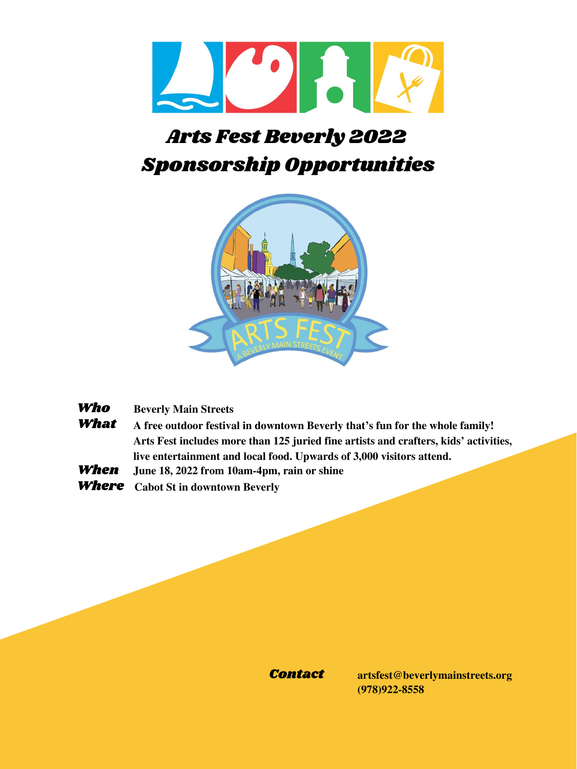

# Arts Fest Beverly 2022 Sponsorship Opportunities



Who **Beverly Main Streets**

- What **A free outdoor festival in downtown Beverly that's fun for the whole family! Arts Fest includes more than 125 juried fine artists and crafters, kids' activities, live entertainment and local food. Upwards of 3,000 visitors attend.**
- When **June 18, 2022 from 10am-4pm, rain or shine**
- Where **Cabot St in downtown Beverly**

Contact **artsfest@beverlymainstreets.org (978)922-8558**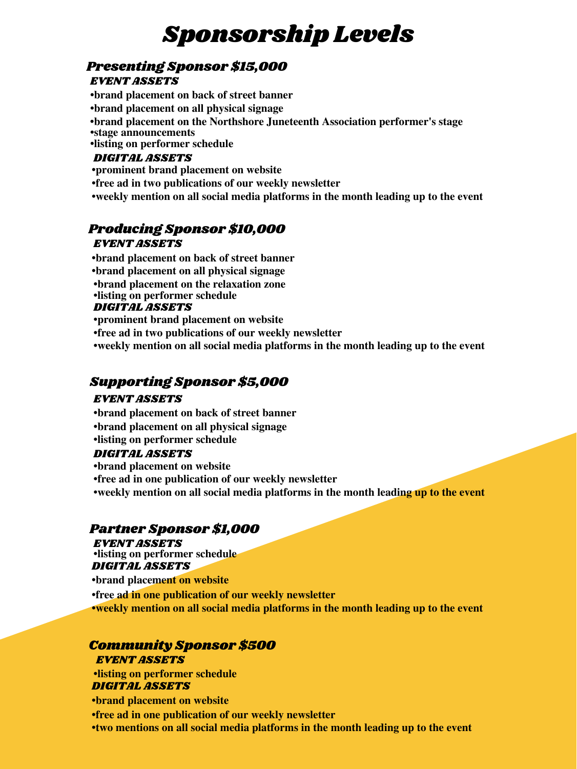# Sponsorship Levels

### Presenting Sponsor \$15,000 EVENT ASSETS

**•brand placement on back of street banner** DIGITAL ASSETS **•brand placement on all physical signage •brand placement on the Northshore Juneteenth Association performer's stage •stage announcements •listing on performer schedule**

**•prominent brand placement on website**

**•free ad in two publications of our weekly newsletter**

# Supporting Sponsor \$5,000

#### EVENT ASSETS

#### DIGITAL ASSETS

**•brand placement on back of street banner •brand placement on all physical signage •listing on performer schedule**

**•brand placement on website**

**•free ad in one publication of our weekly newsletter**

**•weekly mention on all social media platforms in the month leading up to the event**

**•brand placement on back of street banner** DIGITAL ASSETS **•brand placement on all physical signage •brand placement on the relaxation zone •listing on performer schedule •prominent brand placement on website •free ad in two publications of our weekly newsletter •weekly mention on all social media platforms in the month leading up to the event**

### Partner Sponsor \$1,000

EVENT ASSETS DIGITAL ASSETS **•listing on performer schedule**

### EVENT ASSETS Producing Sponsor \$10,000

**•brand placement on website**

**•free ad in one publication of our weekly newsletter**

### Community Sponsor \$500 EVENT ASSETS

**•listing on performer schedule** DIGITAL ASSETS

**•brand placement on website**

**•free ad in one publication of our weekly newsletter**

**•two mentions on all social media platforms in the month leading up to the event**

**•weekly mention on all social media platforms in the month leading up to the event**

**•weekly mention on all social media platforms in the month leading up to the event**